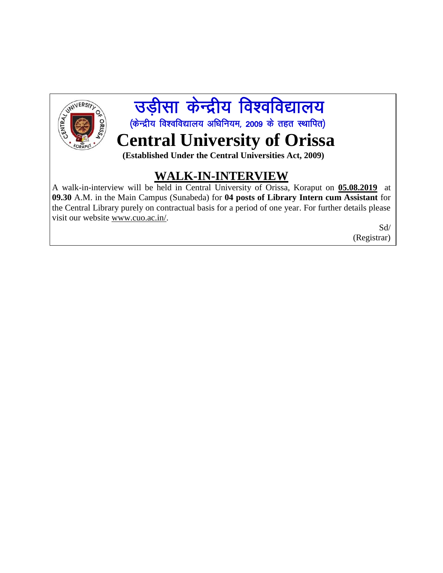



(केन्द्रीय विश्वविद्यालय अधिनियम, 2009 के तहत स्थापित)

## **Central University of Orissa**

 **(Established Under the Central Universities Act, 2009)**

### **WALK-IN-INTERVIEW**

A walk-in-interview will be held in Central University of Orissa, Koraput on **05.08.2019** at **09.30** A.M. in the Main Campus (Sunabeda) for **04 posts of Library Intern cum Assistant** for the Central Library purely on contractual basis for a period of one year. For further details please visit our website www.cuo.ac.in/.

> Sd/ (Registrar)